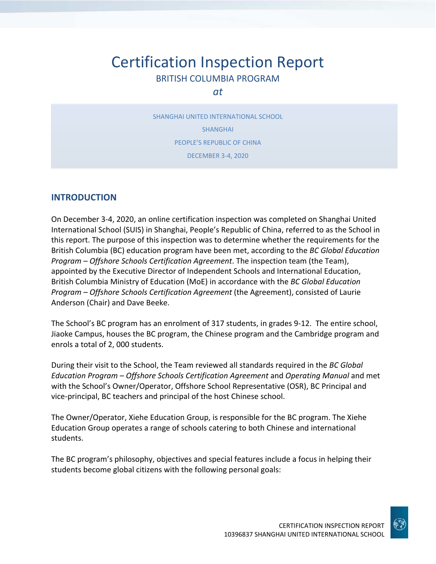# Certification Inspection Report BRITISH COLUMBIA PROGRAM

### *at*

SHANGHAI UNITED INTERNATIONAL SCHOOL SHANGHAI PEOPLE'S REPUBLIC OF CHINA DECEMBER 3‐4, 2020

## **INTRODUCTION**

On December 3‐4, 2020, an online certification inspection was completed on Shanghai United International School (SUIS) in Shanghai, People's Republic of China, referred to as the School in this report. The purpose of this inspection was to determine whether the requirements for the British Columbia (BC) education program have been met, according to the *BC Global Education Program – Offshore Schools Certification Agreement*. The inspection team (the Team), appointed by the Executive Director of Independent Schools and International Education, British Columbia Ministry of Education (MoE) in accordance with the *BC Global Education Program – Offshore Schools Certification Agreement* (the Agreement), consisted of Laurie Anderson (Chair) and Dave Beeke.

The School's BC program has an enrolment of 317 students, in grades 9‐12. The entire school, Jiaoke Campus, houses the BC program, the Chinese program and the Cambridge program and enrols a total of 2, 000 students.

During their visit to the School, the Team reviewed all standards required in the *BC Global Education Program – Offshore Schools Certification Agreement* and *Operating Manual* and met with the School's Owner/Operator, Offshore School Representative (OSR), BC Principal and vice‐principal, BC teachers and principal of the host Chinese school.

The Owner/Operator, Xiehe Education Group, is responsible for the BC program. The Xiehe Education Group operates a range of schools catering to both Chinese and international students.

The BC program's philosophy, objectives and special features include a focus in helping their students become global citizens with the following personal goals:

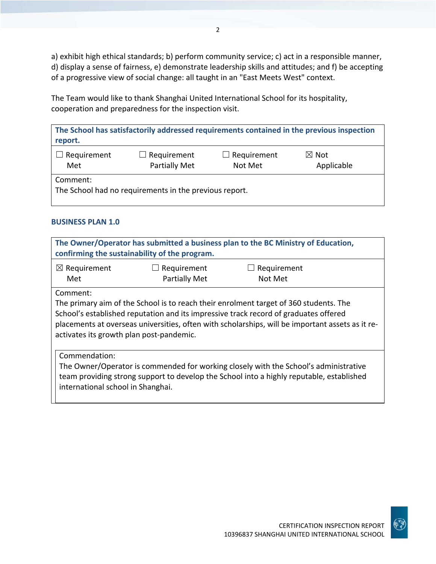a) exhibit high ethical standards; b) perform community service; c) act in a responsible manner, d) display a sense of fairness, e) demonstrate leadership skills and attitudes; and f) be accepting of a progressive view of social change: all taught in an "East Meets West" context.

The Team would like to thank Shanghai United International School for its hospitality, cooperation and preparedness for the inspection visit.

| report.                                                            |                                     |                               | The School has satisfactorily addressed requirements contained in the previous inspection |
|--------------------------------------------------------------------|-------------------------------------|-------------------------------|-------------------------------------------------------------------------------------------|
| Requirement<br>Met                                                 | $\Box$ Requirement<br>Partially Met | $\Box$ Requirement<br>Not Met | $\boxtimes$ Not<br>Applicable                                                             |
| Comment:<br>The School had no requirements in the previous report. |                                     |                               |                                                                                           |

#### **BUSINESS PLAN 1.0**

| The Owner/Operator has submitted a business plan to the BC Ministry of Education,<br>confirming the sustainability of the program.                                                                                                                                                                                                        |                                     |                        |  |
|-------------------------------------------------------------------------------------------------------------------------------------------------------------------------------------------------------------------------------------------------------------------------------------------------------------------------------------------|-------------------------------------|------------------------|--|
| $\boxtimes$ Requirement<br>Met                                                                                                                                                                                                                                                                                                            | Requirement<br><b>Partially Met</b> | Requirement<br>Not Met |  |
| Comment:<br>The primary aim of the School is to reach their enrolment target of 360 students. The<br>School's established reputation and its impressive track record of graduates offered<br>placements at overseas universities, often with scholarships, will be important assets as it re-<br>activates its growth plan post-pandemic. |                                     |                        |  |
| Commendation:<br>The Owner/Operator is commended for working closely with the School's administrative<br>team providing strong support to develop the School into a highly reputable, established<br>international school in Shanghai.                                                                                                    |                                     |                        |  |

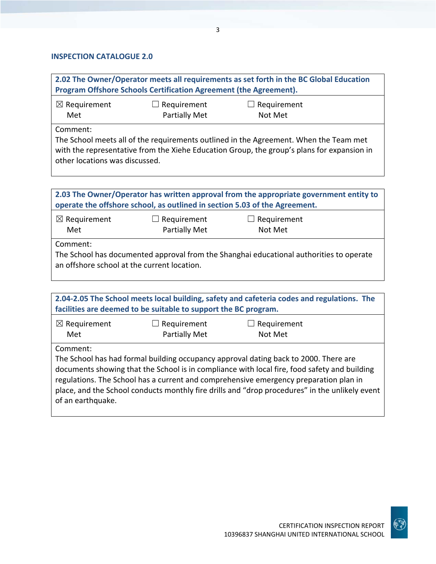#### **INSPECTION CATALOGUE 2.0**

**2.02 The Owner/Operator meets all requirements as set forth in the BC Global Education Program Offshore Schools Certification Agreement (the Agreement).**  $<sup>2</sup>$  Requirement</sup>  $\Box$  Requirement  $\Box$  Requirement

| $\approx$ nequilement | $\Box$ nequilement   | $\Box$ nequilement |
|-----------------------|----------------------|--------------------|
| Met                   | <b>Partially Met</b> | Not Met            |
|                       |                      |                    |

Comment:

The School meets all of the requirements outlined in the Agreement. When the Team met with the representative from the Xiehe Education Group, the group's plans for expansion in other locations was discussed.

| 2.03 The Owner/Operator has written approval from the appropriate government entity to<br>operate the offshore school, as outlined in section 5.03 of the Agreement. |  |  |  |
|----------------------------------------------------------------------------------------------------------------------------------------------------------------------|--|--|--|
| $\boxtimes$ Requirement<br>$\Box$ Requirement<br>Requirement<br>$\overline{\phantom{a}}$<br><b>Partially Met</b><br>Met<br>Not Met                                   |  |  |  |
| Comment:<br>The School has documented approval from the Shanghai educational authorities to operate<br>an offshore school at the current location.                   |  |  |  |

| 2.04-2.05 The School meets local building, safety and cafeteria codes and regulations. The<br>facilities are deemed to be suitable to support the BC program. |  |                                                                                                                                                                                                                                                                                                                                                                                 |  |
|---------------------------------------------------------------------------------------------------------------------------------------------------------------|--|---------------------------------------------------------------------------------------------------------------------------------------------------------------------------------------------------------------------------------------------------------------------------------------------------------------------------------------------------------------------------------|--|
| $\boxtimes$ Requirement<br>Requirement<br>Requirement<br>$\overline{\phantom{a}}$<br>Partially Met<br>Met<br>Not Met                                          |  |                                                                                                                                                                                                                                                                                                                                                                                 |  |
| Comment:<br>of an earthquake.                                                                                                                                 |  | The School has had formal building occupancy approval dating back to 2000. There are<br>documents showing that the School is in compliance with local fire, food safety and building<br>regulations. The School has a current and comprehensive emergency preparation plan in<br>place, and the School conducts monthly fire drills and "drop procedures" in the unlikely event |  |

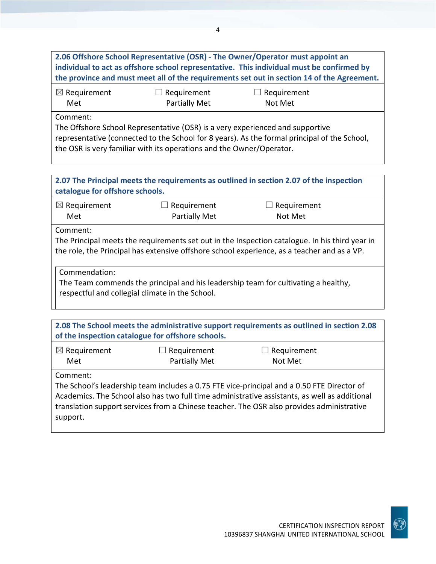**2.06 Offshore School Representative (OSR) ‐ The Owner/Operator must appoint an individual to act as offshore school representative. This individual must be confirmed by the province and must meet all of the requirements set out in section 14 of the Agreement.** ☒ Requirement Met  $\Box$  Requirement Partially Met  $\Box$  Requirement Not Met Comment: The Offshore School Representative (OSR) is a very experienced and supportive representative (connected to the School for 8 years). As the formal principal of the School, the OSR is very familiar with its operations and the Owner/Operator. **2.07 The Principal meets the requirements as outlined in section 2.07 of the inspection**

| catalogue for offshore schools.                                                                                                                        |                                            |                                                                                                                                                                                               |
|--------------------------------------------------------------------------------------------------------------------------------------------------------|--------------------------------------------|-----------------------------------------------------------------------------------------------------------------------------------------------------------------------------------------------|
| $\boxtimes$ Requirement<br>Met                                                                                                                         | $\Box$ Requirement<br><b>Partially Met</b> | Requirement<br>Not Met                                                                                                                                                                        |
| Comment:                                                                                                                                               |                                            | The Principal meets the requirements set out in the Inspection catalogue. In his third year in<br>the role, the Principal has extensive offshore school experience, as a teacher and as a VP. |
| Commendation:<br>The Team commends the principal and his leadership team for cultivating a healthy,<br>respectful and collegial climate in the School. |                                            |                                                                                                                                                                                               |

| 2.08 The School meets the administrative support requirements as outlined in section 2.08<br>of the inspection catalogue for offshore schools. |                                                                                                                                                                                                                                                                                          |  |  |
|------------------------------------------------------------------------------------------------------------------------------------------------|------------------------------------------------------------------------------------------------------------------------------------------------------------------------------------------------------------------------------------------------------------------------------------------|--|--|
| $\boxtimes$ Requirement<br>$\Box$ Requirement<br>$\Box$ Requirement<br><b>Partially Met</b><br>Met<br>Not Met                                  |                                                                                                                                                                                                                                                                                          |  |  |
| Comment:<br>support.                                                                                                                           | The School's leadership team includes a 0.75 FTE vice-principal and a 0.50 FTE Director of<br>Academics. The School also has two full time administrative assistants, as well as additional<br>translation support services from a Chinese teacher. The OSR also provides administrative |  |  |

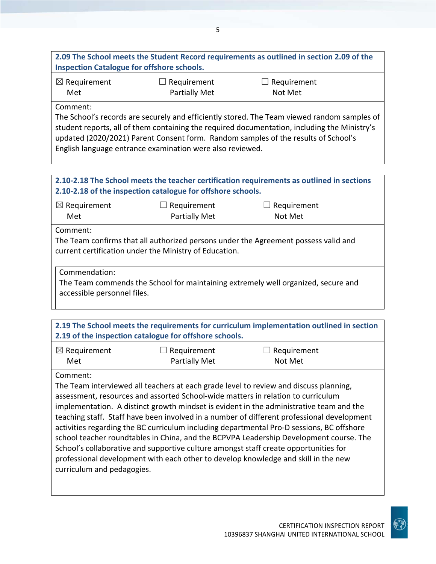**2.09 The School meets the Student Record requirements as outlined in section 2.09 of the Inspection Catalogue for offshore schools.**

| $\boxtimes$ Requirement | $\Box$ Requirement | $\Box$ Requirement |
|-------------------------|--------------------|--------------------|
| Met                     | Partially Met      | Not Met            |

Comment:

The School's records are securely and efficiently stored. The Team viewed random samples of student reports, all of them containing the required documentation, including the Ministry's updated (2020/2021) Parent Consent form. Random samples of the results of School's English language entrance examination were also reviewed.

#### **2.10‐2.18 The School meets the teacher certification requirements as outlined in sections 2.10‐2.18 of the inspection catalogue for offshore schools.** ☒ Requirement Met  $\Box$  Requirement Partially Met  $\Box$  Requirement Not Met

Comment:

The Team confirms that all authorized persons under the Agreement possess valid and current certification under the Ministry of Education.

Commendation:

The Team commends the School for maintaining extremely well organized, secure and accessible personnel files.

| 2.19 The School meets the requirements for curriculum implementation outlined in section<br>2.19 of the inspection catalogue for offshore schools. |                      |                    |
|----------------------------------------------------------------------------------------------------------------------------------------------------|----------------------|--------------------|
| $\boxtimes$ Requirement                                                                                                                            | $\Box$ Requirement   | $\Box$ Requirement |
| Met                                                                                                                                                | <b>Partially Met</b> | Not Met            |

## Comment:

The Team interviewed all teachers at each grade level to review and discuss planning, assessment, resources and assorted School‐wide matters in relation to curriculum implementation. A distinct growth mindset is evident in the administrative team and the teaching staff. Staff have been involved in a number of different professional development activities regarding the BC curriculum including departmental Pro‐D sessions, BC offshore school teacher roundtables in China, and the BCPVPA Leadership Development course. The School's collaborative and supportive culture amongst staff create opportunities for professional development with each other to develop knowledge and skill in the new curriculum and pedagogies.

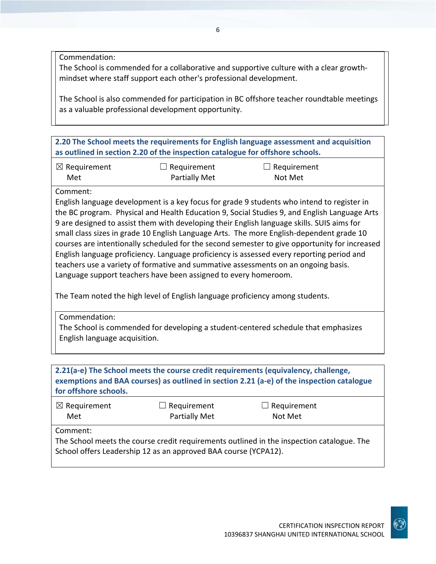Commendation:

The School is commended for a collaborative and supportive culture with a clear growth‐ mindset where staff support each other's professional development.

The School is also commended for participation in BC offshore teacher roundtable meetings as a valuable professional development opportunity.

**2.20 The School meets the requirements for English language assessment and acquisition as outlined in section 2.20 of the inspection catalogue for offshore schools.**

| $\boxtimes$ Requirement | $\Box$ Requirement | $\Box$ Requirement |
|-------------------------|--------------------|--------------------|
| Met                     | Partially Met      | Not Met            |

#### Comment:

English language development is a key focus for grade 9 students who intend to register in the BC program. Physical and Health Education 9, Social Studies 9, and English Language Arts 9 are designed to assist them with developing their English language skills. SUIS aims for small class sizes in grade 10 English Language Arts. The more English-dependent grade 10 courses are intentionally scheduled for the second semester to give opportunity for increased English language proficiency. Language proficiency is assessed every reporting period and teachers use a variety of formative and summative assessments on an ongoing basis. Language support teachers have been assigned to every homeroom.

The Team noted the high level of English language proficiency among students.

Commendation: The School is commended for developing a student‐centered schedule that emphasizes English language acquisition.

| for offshore schools.                                                                                                                                                    |                                            | 2.21(a-e) The School meets the course credit requirements (equivalency, challenge,<br>exemptions and BAA courses) as outlined in section 2.21 (a-e) of the inspection catalogue |  |
|--------------------------------------------------------------------------------------------------------------------------------------------------------------------------|--------------------------------------------|---------------------------------------------------------------------------------------------------------------------------------------------------------------------------------|--|
| $\boxtimes$ Requirement<br>Met                                                                                                                                           | $\Box$ Requirement<br><b>Partially Met</b> | $\Box$ Requirement<br>Not Met                                                                                                                                                   |  |
| Comment:<br>The School meets the course credit requirements outlined in the inspection catalogue. The<br>School offers Leadership 12 as an approved BAA course (YCPA12). |                                            |                                                                                                                                                                                 |  |

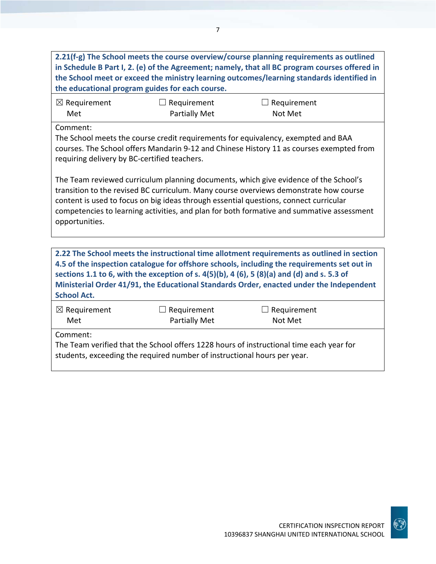| 2.21(f-g) The School meets the course overview/course planning requirements as outlined<br>in Schedule B Part I, 2. (e) of the Agreement; namely, that all BC program courses offered in<br>the School meet or exceed the ministry learning outcomes/learning standards identified in<br>the educational program guides for each course.                                                                    |                                                                                                                                                                                                                               |                               |  |  |
|-------------------------------------------------------------------------------------------------------------------------------------------------------------------------------------------------------------------------------------------------------------------------------------------------------------------------------------------------------------------------------------------------------------|-------------------------------------------------------------------------------------------------------------------------------------------------------------------------------------------------------------------------------|-------------------------------|--|--|
| $\boxtimes$ Requirement<br>Met                                                                                                                                                                                                                                                                                                                                                                              | $\Box$ Requirement<br><b>Partially Met</b>                                                                                                                                                                                    | $\Box$ Requirement<br>Not Met |  |  |
| Comment:                                                                                                                                                                                                                                                                                                                                                                                                    | The School meets the course credit requirements for equivalency, exempted and BAA<br>courses. The School offers Mandarin 9-12 and Chinese History 11 as courses exempted from<br>requiring delivery by BC-certified teachers. |                               |  |  |
| The Team reviewed curriculum planning documents, which give evidence of the School's<br>transition to the revised BC curriculum. Many course overviews demonstrate how course<br>content is used to focus on big ideas through essential questions, connect curricular<br>competencies to learning activities, and plan for both formative and summative assessment<br>opportunities.                       |                                                                                                                                                                                                                               |                               |  |  |
| 2.22 The School meets the instructional time allotment requirements as outlined in section<br>4.5 of the inspection catalogue for offshore schools, including the requirements set out in<br>sections 1.1 to 6, with the exception of s. $4(5)(b)$ , 4 (6), 5 (8)(a) and (d) and s. 5.3 of<br>Ministerial Order 41/91, the Educational Standards Order, enacted under the Independent<br><b>School Act.</b> |                                                                                                                                                                                                                               |                               |  |  |
| $\boxtimes$ Requirement<br>Met                                                                                                                                                                                                                                                                                                                                                                              | $\Box$ Requirement<br><b>Partially Met</b>                                                                                                                                                                                    | $\Box$ Requirement<br>Not Met |  |  |
| Comment:<br>The Team verified that the School offers 1228 hours of instructional time each year for<br>students, exceeding the required number of instructional hours per year.                                                                                                                                                                                                                             |                                                                                                                                                                                                                               |                               |  |  |



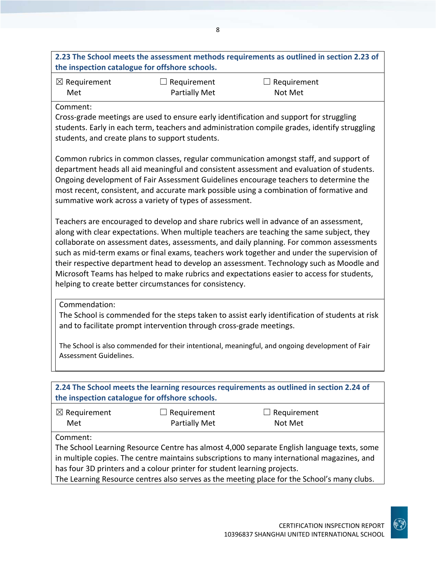# **2.23 The School meets the assessment methods requirements as outlined in section 2.23 of the inspection catalogue for offshore schools.**

| $\boxtimes$ Requirement | $\Box$ Requirement | $\Box$ Requirement |
|-------------------------|--------------------|--------------------|
| Met                     | Partially Met      | Not Met            |

#### Comment:

Cross‐grade meetings are used to ensure early identification and support for struggling students. Early in each term, teachers and administration compile grades, identify struggling students, and create plans to support students.

Common rubrics in common classes, regular communication amongst staff, and support of department heads all aid meaningful and consistent assessment and evaluation of students. Ongoing development of Fair Assessment Guidelines encourage teachers to determine the most recent, consistent, and accurate mark possible using a combination of formative and summative work across a variety of types of assessment.

Teachers are encouraged to develop and share rubrics well in advance of an assessment, along with clear expectations. When multiple teachers are teaching the same subject, they collaborate on assessment dates, assessments, and daily planning. For common assessments such as mid‐term exams or final exams, teachers work together and under the supervision of their respective department head to develop an assessment. Technology such as Moodle and Microsoft Teams has helped to make rubrics and expectations easier to access for students, helping to create better circumstances for consistency.

Commendation:

The School is commended for the steps taken to assist early identification of students at risk and to facilitate prompt intervention through cross-grade meetings.

The School is also commended for their intentional, meaningful, and ongoing development of Fair Assessment Guidelines.

| 2.24 The School meets the learning resources requirements as outlined in section 2.24 of<br>the inspection catalogue for offshore schools. |               |                    |  |
|--------------------------------------------------------------------------------------------------------------------------------------------|---------------|--------------------|--|
| $\boxtimes$ Requirement                                                                                                                    | Requirement   | $\Box$ Requirement |  |
| Met                                                                                                                                        | Partially Met | Not Met            |  |
| Comment:                                                                                                                                   |               |                    |  |
| The School Learning Resource Centre has almost 4,000 separate English language texts, some                                                 |               |                    |  |
| in multiple copies. The centre maintains subscriptions to many international magazines, and                                                |               |                    |  |
| has four 3D printers and a colour printer for student learning projects.                                                                   |               |                    |  |
| The Learning Resource centres also serves as the meeting place for the School's many clubs.                                                |               |                    |  |

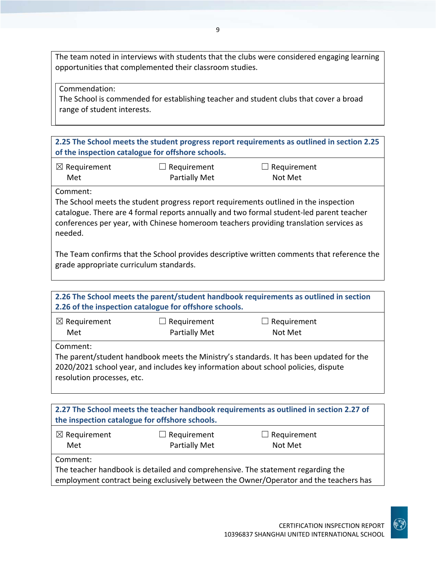The team noted in interviews with students that the clubs were considered engaging learning opportunities that complemented their classroom studies.

Commendation:

The School is commended for establishing teacher and student clubs that cover a broad range of student interests.

**2.25 The School meets the student progress report requirements as outlined in section 2.25 of the inspection catalogue for offshore schools.**

| $\boxtimes$ Requirement | $\Box$ Requirement   | $\Box$ Requirement |
|-------------------------|----------------------|--------------------|
| Met                     | <b>Partially Met</b> | Not Met            |

Comment:

The School meets the student progress report requirements outlined in the inspection catalogue. There are 4 formal reports annually and two formal student‐led parent teacher conferences per year, with Chinese homeroom teachers providing translation services as needed.

The Team confirms that the School provides descriptive written comments that reference the grade appropriate curriculum standards.

| 2.26 The School meets the parent/student handbook requirements as outlined in section<br>2.26 of the inspection catalogue for offshore schools.                                                                         |                                            |                               |  |
|-------------------------------------------------------------------------------------------------------------------------------------------------------------------------------------------------------------------------|--------------------------------------------|-------------------------------|--|
| $\boxtimes$ Requirement<br>Met                                                                                                                                                                                          | $\Box$ Requirement<br><b>Partially Met</b> | $\Box$ Requirement<br>Not Met |  |
| Comment:<br>The parent/student handbook meets the Ministry's standards. It has been updated for the<br>2020/2021 school year, and includes key information about school policies, dispute<br>resolution processes, etc. |                                            |                               |  |

| 2.27 The School meets the teacher handbook requirements as outlined in section 2.27 of<br>the inspection catalogue for offshore schools. |                                            |                                                                                 |  |
|------------------------------------------------------------------------------------------------------------------------------------------|--------------------------------------------|---------------------------------------------------------------------------------|--|
| $\boxtimes$ Requirement<br>Met                                                                                                           | $\Box$ Requirement<br><b>Partially Met</b> | $\Box$ Requirement<br>Not Met                                                   |  |
| Comment:                                                                                                                                 |                                            | The teacher handbook is detailed and comprehensive. The statement regarding the |  |

employment contract being exclusively between the Owner/Operator and the teachers has